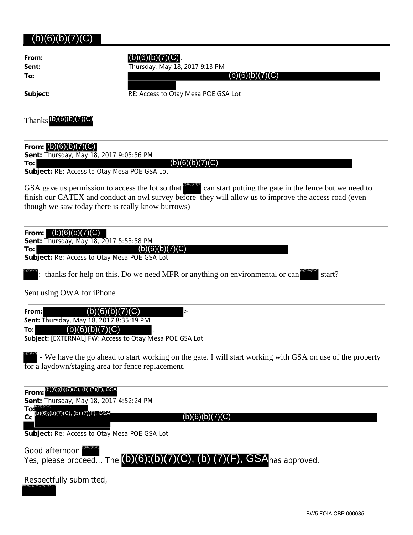## $(b)(6)(b)(7)(C)$

| From:<br>Sent:<br>To:                                           | Thursday, May 18, 2017 9:13 PM                                                                                                                                                                                                                                           |
|-----------------------------------------------------------------|--------------------------------------------------------------------------------------------------------------------------------------------------------------------------------------------------------------------------------------------------------------------------|
| Subject:                                                        | RE: Access to Otay Mesa POE GSA Lot                                                                                                                                                                                                                                      |
| Thanks $(D)(6)(b)(7)(C)$                                        |                                                                                                                                                                                                                                                                          |
| From: $(b)(6)(b)(7)$<br>Sent: Thursday, May 18, 2017 9:05:56 PM |                                                                                                                                                                                                                                                                          |
| To:l                                                            | (b)(6)<br>Subject: RE: Access to Otay Mesa POE GSA Lot                                                                                                                                                                                                                   |
|                                                                 | GSA gave us permission to access the lot so that<br>can start putting the gate in the fence but we need to<br>finish our CATEX and conduct an owl survey before they will allow us to improve the access road (even<br>though we saw today there is really know burrows) |

| (b)(6)(b)(7)(C)<br>From:<br>Sent: Thursday, May 18, 2017 5:53:58 PM                                                                                            |
|----------------------------------------------------------------------------------------------------------------------------------------------------------------|
| (C)<br>(b)(6)<br>To:<br>Subject: Re: Access to Otay Mesa POE GSA Lot                                                                                           |
| : thanks for help on this. Do we need MFR or anything on environmental or can<br>start?                                                                        |
| Sent using OWA for iPhone                                                                                                                                      |
| From:<br>$\,>$<br>Sent: Thursday, May 18, 2017 8:35:19 PM                                                                                                      |
| 6)<br>To:<br>(b)<br>Subject: [EXTERNAL] FW: Access to Otay Mesa POE GSA Lot                                                                                    |
| - We have the go ahead to start working on the gate. I will start working with GSA on use of the property<br>for a laydown/staging area for fence replacement. |
| (b)(6);(b)(7)(C), (b) (7)(F), GSA<br>From:                                                                                                                     |
| Sent: Thursday, May 18, 2017 4:52:24 PM<br>TO:<br>(b)(6);(b)(7)(C), (b) (7)(F), GSA                                                                            |
| cc<br>(b)(6)( <u>b</u> )<br>Subject: Re: Access to Otay Mesa POE GSA Lot                                                                                       |
|                                                                                                                                                                |
| Good afternoon<br>Yes, please proceed The (D)(6);(b)<br>GSAhas approved.                                                                                       |

| Respectfully submitted,         |  |
|---------------------------------|--|
| (b)(6);(b)(7)(C), (b) (7)(F), G |  |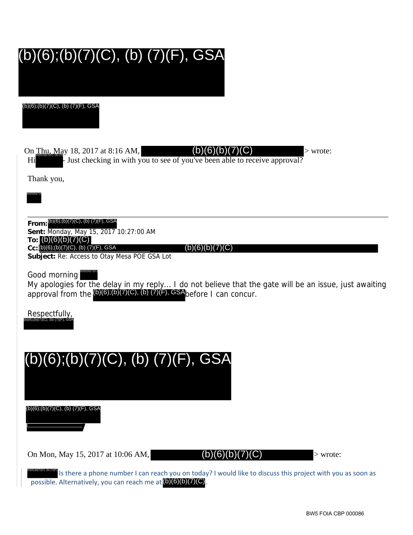# (b)(6);(b)(7)(C), (b) (7)(F), GSA

(b)(6);(b)(7)(C), (b) (7)(F), GSA

On  $\frac{\text{Thu, May 18, 2017 at 8:16 AM}}{\text{SUSM (b)(6)(b)(7)(C)}}$  > wrote:

 $(b)(6)(b)(7)(C)$ 

Hi bust checking in with you to see of you've been able to receive approval?

Thank you,



**From:** (b)(6);(b)(7)(C), (b) (7)(F), GSA **Sent:** Monday, May 15, 2017 10:27:00 AM **To:** (b)(6)(b)(7)(C) **Cc:** (b)(6);(b)(7)(C), (b) (7)(F), GSA

 $(b)(6)(b)(7)(C)$ 

**Subject:** Re: Access to Otay Mesa POE GSA Lot

Good morning (b)(6)(b)(7)(C)

My apologies for the delay in my reply... I do not believe that the gate will be an issue, just awaiting approval from the  $(b)(6)$ ; $(b)(7)(C)$ ,  $(b)(7)(F)$ , GSAbefore I can concur.

Respectfully, (b)(6);(b)(7)(C), (b) (7)(F), GSA



**DIGIDITION OF THE REACT COOLD THE REACH OF STARD** IS there a phone number I can reach you from today? I would like to discuss this project with you as soon as possible. Alternatively, you can reach me at (b)(6)(b)(7)(C).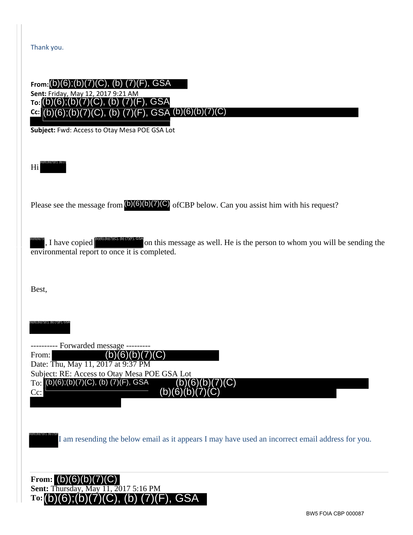#### **From:** (b)(6);(b)(7)(C), (b) (7)(F), GSA **Sent:** Friday, May 12, 2017 9:21 AM **To:** (b)(6);(b)(7)(C), (b) (7)(F), GSA **Cc:** (b)(6)(b)(7)(C) (b)(6);(b)(7)(C), (b) (7)(F), GSA

**Subject:** Fwd: Access to Otay Mesa POE GSA Lot

Hi (b)(6);(b)(7)(C), (b)(7)

Please see the message from  $(b)(6)(b)(7)(C)$  of CBP below. Can you assist him with his request?

, I have copied  $\mathbb{R}^{\mathbb{Z}}$  on this message as well. He is the person to whom you will be sending the environmental report to once it is completed. (b)(6)(b)(7)( (b)(6);(b)(7)(C), (b) (7)(F), GSA

Best,

(b)(6);(b)(7)(C), (b) (7)(F), GSA

--- Forwarded message ---From: Date: Thu, May 11, 2017 at 9:37 PM Subject: RE: Access to Otay Mesa POE GSA Lot To: (b)(6);(b)(7)(C), (b) (7)(F), GSA Cc: (b)(6)(b)(7)(C) (b)(6)(b)(7)(C) (b)(6)(b

I am resending the below email as it appears I may have used an incorrect email address for you. (b)(6);(b)(7)(C), (b) (7)(F

**From:** (b)(6)(b)(7)(C)**Sent:** Thursday, May 11, 2017 5:16 PM **To:** (b)(6);(b)(7)(C), (b) (7)(F), GSA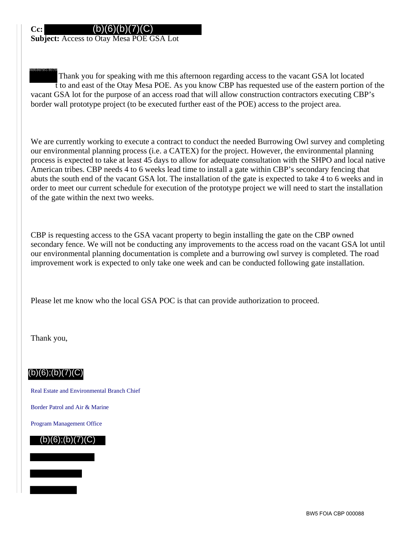#### (b)(6)(b)(7)(C)

**Subject:** Access to Otay Mesa POE GSA Lot

 Thank you for speaking with me this afternoon regarding access to the vacant GSA lot located t to and east of the Otay Mesa POE. As you know CBP has requested use of the eastern portion of the vacant GSA lot for the purpose of an access road that will allow construction contractors executing CBP's border wall prototype project (to be executed further east of the POE) access to the project area. (b)(6);(b)(7)(C), (b) (7)(F)

We are currently working to execute a contract to conduct the needed Burrowing Owl survey and completing our environmental planning process (i.e. a CATEX) for the project. However, the environmental planning process is expected to take at least 45 days to allow for adequate consultation with the SHPO and local native American tribes. CBP needs 4 to 6 weeks lead time to install a gate within CBP's secondary fencing that abuts the south end of the vacant GSA lot. The installation of the gate is expected to take 4 to 6 weeks and in order to meet our current schedule for execution of the prototype project we will need to start the installation of the gate within the next two weeks.

CBP is requesting access to the GSA vacant property to begin installing the gate on the CBP owned secondary fence. We will not be conducting any improvements to the access road on the vacant GSA lot until our environmental planning documentation is complete and a burrowing owl survey is completed. The road improvement work is expected to only take one week and can be conducted following gate installation.

Please let me know who the local GSA POC is that can provide authorization to proceed.

Thank you,

### $(b)(6)$ ; $(b)(7)(C)$

Real Estate and Environmental Branch Chief

Border Patrol and Air & Marine

Program Management Office